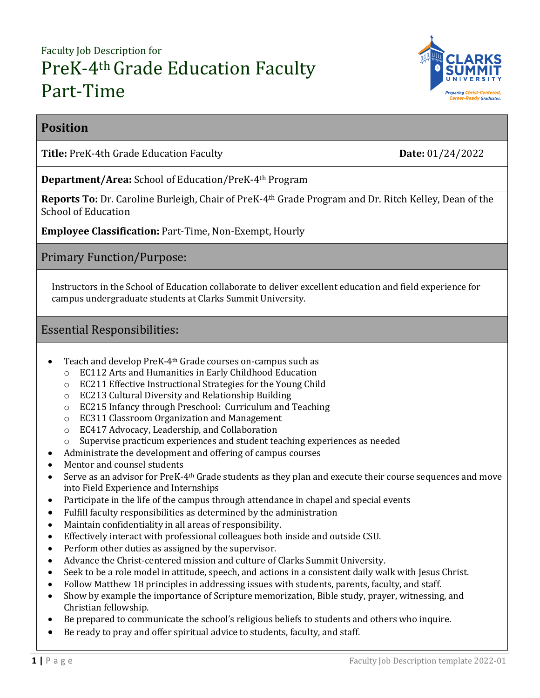# Faculty Job Description for PreK-4<sup>th</sup> Grade Education Faculty Part-Time



## **Position**

**Title:** PreK-4th Grade Education Faculty **Date:** 01/24/2022

**Department/Area:** School of Education/PreK-4th Program

**Reports To:** Dr. Caroline Burleigh, Chair of PreK-4th Grade Program and Dr. Ritch Kelley, Dean of the School of Education

**Employee Classification:** Part-Time, Non-Exempt, Hourly

Primary Function/Purpose:

Instructors in the School of Education collaborate to deliver excellent education and field experience for campus undergraduate students at Clarks Summit University.

## Essential Responsibilities:

- Teach and develop PreK-4<sup>th</sup> Grade courses on-campus such as
	- o EC112 Arts and Humanities in Early Childhood Education
	- o EC211 Effective Instructional Strategies for the Young Child
	- o EC213 Cultural Diversity and Relationship Building
	- o EC215 Infancy through Preschool: Curriculum and Teaching
	- o EC311 Classroom Organization and Management
	- o EC417 Advocacy, Leadership, and Collaboration
	- o Supervise practicum experiences and student teaching experiences as needed
- Administrate the development and offering of campus courses
- Mentor and counsel students
- Serve as an advisor for PreK-4th Grade students as they plan and execute their course sequences and move into Field Experience and Internships
- Participate in the life of the campus through attendance in chapel and special events
- Fulfill faculty responsibilities as determined by the administration
- Maintain confidentiality in all areas of responsibility.
- Effectively interact with professional colleagues both inside and outside CSU.
- Perform other duties as assigned by the supervisor.
- Advance the Christ-centered mission and culture of Clarks Summit University.
- Seek to be a role model in attitude, speech, and actions in a consistent daily walk with Jesus Christ.
- Follow Matthew 18 principles in addressing issues with students, parents, faculty, and staff.
- Show by example the importance of Scripture memorization, Bible study, prayer, witnessing, and Christian fellowship.
- Be prepared to communicate the school's religious beliefs to students and others who inquire.
- Be ready to pray and offer spiritual advice to students, faculty, and staff.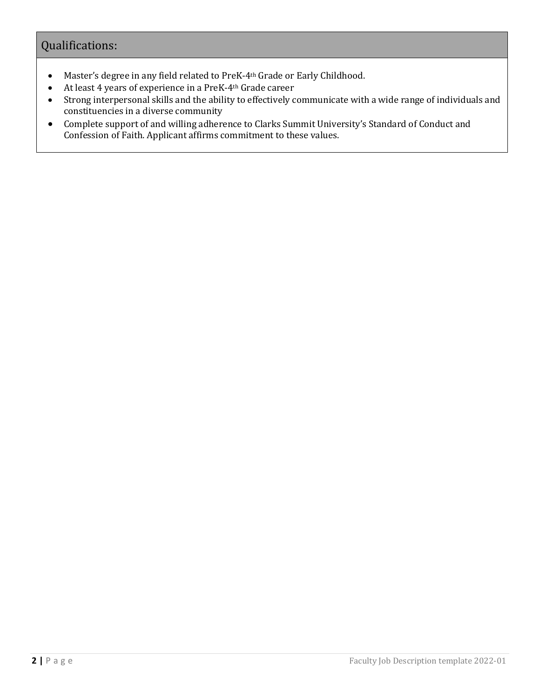# Qualifications:

- Master's degree in any field related to PreK-4th Grade or Early Childhood.
- At least 4 years of experience in a PreK-4th Grade career
- Strong interpersonal skills and the ability to effectively communicate with a wide range of individuals and constituencies in a diverse community
- Complete support of and willing adherence to Clarks Summit University's Standard of Conduct and Confession of Faith. Applicant affirms commitment to these values.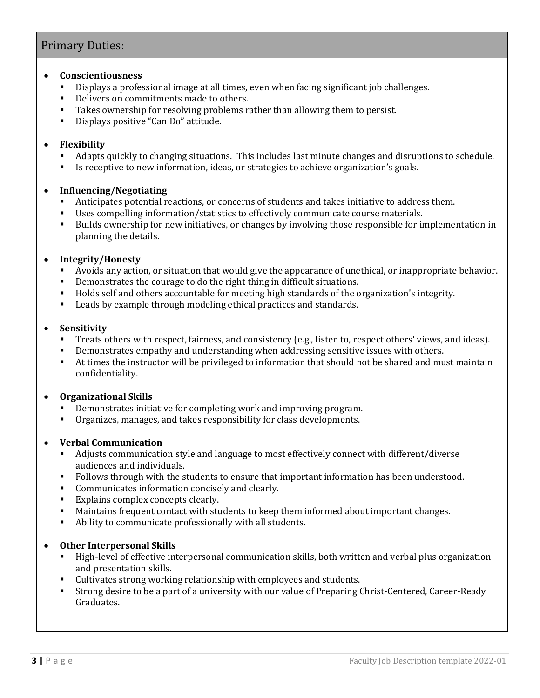# Primary Duties:

#### **Conscientiousness**

- Displays a professional image at all times, even when facing significant job challenges.
- Delivers on commitments made to others.
- Takes ownership for resolving problems rather than allowing them to persist.
- Displays positive "Can Do" attitude.

#### **Flexibility**

- Adapts quickly to changing situations. This includes last minute changes and disruptions to schedule.
- Is receptive to new information, ideas, or strategies to achieve organization's goals.

#### **Influencing/Negotiating**

- Anticipates potential reactions, or concerns of students and takes initiative to address them.
- Uses compelling information/statistics to effectively communicate course materials.
- Builds ownership for new initiatives, or changes by involving those responsible for implementation in planning the details.

#### **Integrity/Honesty**

- Avoids any action, or situation that would give the appearance of unethical, or inappropriate behavior.
- Demonstrates the courage to do the right thing in difficult situations.
- Holds self and others accountable for meeting high standards of the organization's integrity.
- **EXECTE 1.5 Leads by example through modeling ethical practices and standards.**

#### **Sensitivity**

- Treats others with respect, fairness, and consistency (e.g., listen to, respect others' views, and ideas).
- Demonstrates empathy and understanding when addressing sensitive issues with others.
- At times the instructor will be privileged to information that should not be shared and must maintain confidentiality.

#### **Organizational Skills**

- Demonstrates initiative for completing work and improving program.
- Organizes, manages, and takes responsibility for class developments.

#### **Verbal Communication**

- Adjusts communication style and language to most effectively connect with different/diverse audiences and individuals.
- Follows through with the students to ensure that important information has been understood.
- **Communicates information concisely and clearly.**
- Explains complex concepts clearly.
- Maintains frequent contact with students to keep them informed about important changes.
- Ability to communicate professionally with all students.

#### **Other Interpersonal Skills**

- High-level of effective interpersonal communication skills, both written and verbal plus organization and presentation skills.
- Cultivates strong working relationship with employees and students.
- Strong desire to be a part of a university with our value of Preparing Christ-Centered, Career-Ready Graduates.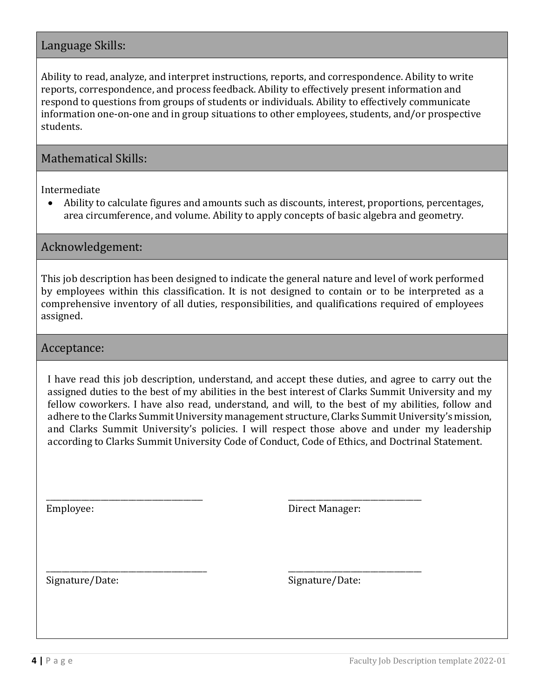# Language Skills:

Ability to read, analyze, and interpret instructions, reports, and correspondence. Ability to write reports, correspondence, and process feedback. Ability to effectively present information and respond to questions from groups of students or individuals. Ability to effectively communicate information one-on-one and in group situations to other employees, students, and/or prospective students.

## Mathematical Skills:

Intermediate

 Ability to calculate figures and amounts such as discounts, interest, proportions, percentages, area circumference, and volume. Ability to apply concepts of basic algebra and geometry.

Acknowledgement:

This job description has been designed to indicate the general nature and level of work performed by employees within this classification. It is not designed to contain or to be interpreted as a comprehensive inventory of all duties, responsibilities, and qualifications required of employees assigned.

#### Acceptance:

I have read this job description, understand, and accept these duties, and agree to carry out the assigned duties to the best of my abilities in the best interest of Clarks Summit University and my fellow coworkers. I have also read, understand, and will, to the best of my abilities, follow and adhere to the Clarks Summit University management structure, Clarks Summit University's mission, and Clarks Summit University's policies. I will respect those above and under my leadership according to Clarks Summit University Code of Conduct, Code of Ethics, and Doctrinal Statement.

Employee:

\_\_\_\_\_\_\_\_\_\_\_\_\_\_\_\_\_\_\_\_\_\_\_\_\_\_\_\_\_\_\_\_\_\_\_\_\_\_\_\_

\_\_\_\_\_\_\_\_\_\_\_\_\_\_\_\_\_\_\_\_\_\_\_\_\_\_\_\_\_\_\_\_\_\_\_\_\_\_\_\_\_

Direct Manager:

\_\_\_\_\_\_\_\_\_\_\_\_\_\_\_\_\_\_\_\_\_\_\_\_\_\_\_\_\_\_\_\_\_\_

\_\_\_\_\_\_\_\_\_\_\_\_\_\_\_\_\_\_\_\_\_\_\_\_\_\_\_\_\_\_\_\_\_\_

Signature/Date:

Signature/Date: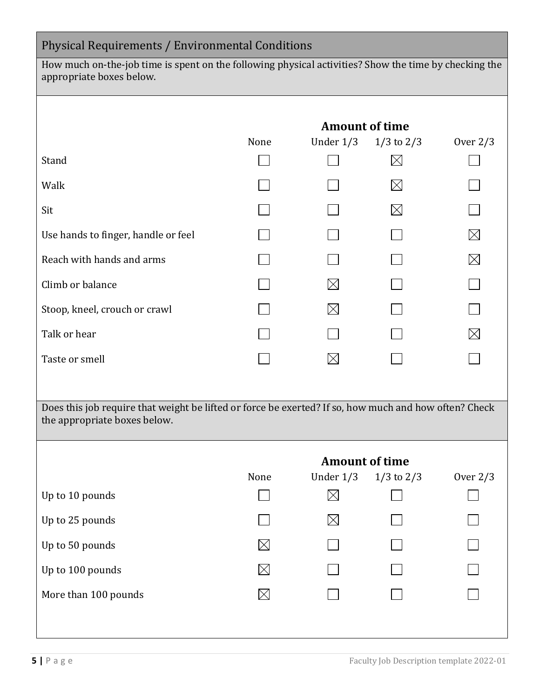| Physical Requirements / Environmental Conditions                                                                                      |                       |             |                |             |  |  |
|---------------------------------------------------------------------------------------------------------------------------------------|-----------------------|-------------|----------------|-------------|--|--|
| How much on-the-job time is spent on the following physical activities? Show the time by checking the<br>appropriate boxes below.     |                       |             |                |             |  |  |
|                                                                                                                                       | <b>Amount of time</b> |             |                |             |  |  |
|                                                                                                                                       | None                  | Under $1/3$ | $1/3$ to $2/3$ | Over $2/3$  |  |  |
| Stand                                                                                                                                 |                       |             | $\boxtimes$    |             |  |  |
| Walk                                                                                                                                  |                       |             | $\boxtimes$    |             |  |  |
| Sit                                                                                                                                   |                       |             | $\boxtimes$    |             |  |  |
| Use hands to finger, handle or feel                                                                                                   |                       |             |                | $\boxtimes$ |  |  |
| Reach with hands and arms                                                                                                             |                       |             |                | $\boxtimes$ |  |  |
| Climb or balance                                                                                                                      |                       | $\boxtimes$ |                |             |  |  |
| Stoop, kneel, crouch or crawl                                                                                                         |                       | $\boxtimes$ |                |             |  |  |
| Talk or hear                                                                                                                          |                       |             |                | $\bowtie$   |  |  |
| Taste or smell                                                                                                                        |                       | $\boxtimes$ |                |             |  |  |
|                                                                                                                                       |                       |             |                |             |  |  |
| Does this job require that weight be lifted or force be exerted? If so, how much and how often? Check<br>the appropriate boxes below. |                       |             |                |             |  |  |
|                                                                                                                                       |                       |             |                |             |  |  |
|                                                                                                                                       | <b>Amount of time</b> |             |                |             |  |  |
|                                                                                                                                       | None                  | Under $1/3$ | $1/3$ to $2/3$ | Over $2/3$  |  |  |
| Up to 10 pounds                                                                                                                       |                       | $\boxtimes$ |                |             |  |  |
| Up to 25 pounds                                                                                                                       |                       | $\bowtie$   |                |             |  |  |
| Up to 50 pounds                                                                                                                       | $\boxtimes$           |             |                |             |  |  |
| Up to 100 pounds                                                                                                                      | $\boxtimes$           |             |                |             |  |  |
| More than 100 pounds                                                                                                                  | IХI                   |             |                |             |  |  |
|                                                                                                                                       |                       |             |                |             |  |  |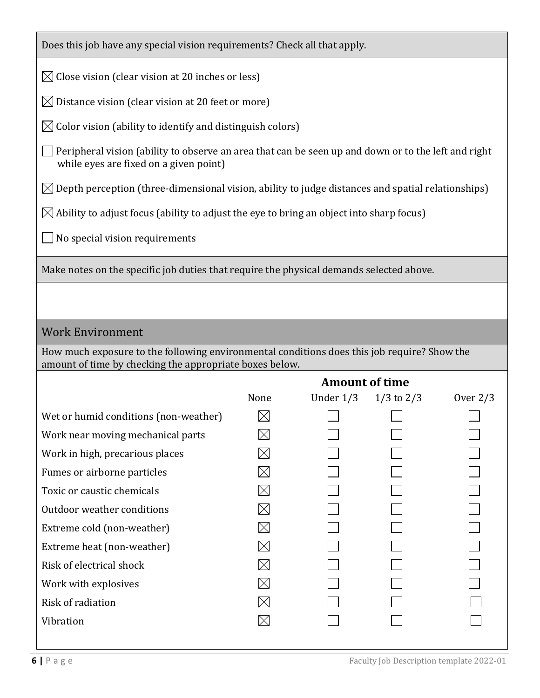| Does this job have any special vision requirements? Check all that apply.                                                                              |                                                                                                               |             |                |            |  |
|--------------------------------------------------------------------------------------------------------------------------------------------------------|---------------------------------------------------------------------------------------------------------------|-------------|----------------|------------|--|
| $\boxtimes$ Close vision (clear vision at 20 inches or less)                                                                                           |                                                                                                               |             |                |            |  |
| $\boxtimes$ Distance vision (clear vision at 20 feet or more)                                                                                          |                                                                                                               |             |                |            |  |
| $\boxtimes$ Color vision (ability to identify and distinguish colors)                                                                                  |                                                                                                               |             |                |            |  |
| Peripheral vision (ability to observe an area that can be seen up and down or to the left and right<br>while eyes are fixed on a given point)          |                                                                                                               |             |                |            |  |
|                                                                                                                                                        | $\boxtimes$ Depth perception (three-dimensional vision, ability to judge distances and spatial relationships) |             |                |            |  |
| $\boxtimes$ Ability to adjust focus (ability to adjust the eye to bring an object into sharp focus)                                                    |                                                                                                               |             |                |            |  |
| No special vision requirements                                                                                                                         |                                                                                                               |             |                |            |  |
| Make notes on the specific job duties that require the physical demands selected above.                                                                |                                                                                                               |             |                |            |  |
|                                                                                                                                                        |                                                                                                               |             |                |            |  |
|                                                                                                                                                        |                                                                                                               |             |                |            |  |
| <b>Work Environment</b>                                                                                                                                |                                                                                                               |             |                |            |  |
| How much exposure to the following environmental conditions does this job require? Show the<br>amount of time by checking the appropriate boxes below. |                                                                                                               |             |                |            |  |
|                                                                                                                                                        | <b>Amount of time</b>                                                                                         |             |                |            |  |
|                                                                                                                                                        | None                                                                                                          | Under $1/3$ | $1/3$ to $2/3$ | Over $2/3$ |  |
| Wet or humid conditions (non-weather)                                                                                                                  | $\boxtimes$                                                                                                   |             |                |            |  |
| Work near moving mechanical parts                                                                                                                      |                                                                                                               |             |                |            |  |
| Work in high, precarious places                                                                                                                        |                                                                                                               |             |                |            |  |
| Fumes or airborne particles                                                                                                                            |                                                                                                               |             |                |            |  |
| Toxic or caustic chemicals                                                                                                                             |                                                                                                               |             |                |            |  |
| Outdoor weather conditions                                                                                                                             |                                                                                                               |             |                |            |  |
| Extreme cold (non-weather)                                                                                                                             | IX                                                                                                            |             |                |            |  |
| Extreme heat (non-weather)                                                                                                                             |                                                                                                               |             |                |            |  |
| Risk of electrical shock                                                                                                                               | $\boxtimes$                                                                                                   |             |                |            |  |
| Work with explosives                                                                                                                                   | $\boxtimes$                                                                                                   |             |                |            |  |
| Risk of radiation                                                                                                                                      | $\boxtimes$                                                                                                   |             |                |            |  |
| Vibration                                                                                                                                              | $\times$                                                                                                      |             |                |            |  |
|                                                                                                                                                        |                                                                                                               |             |                |            |  |